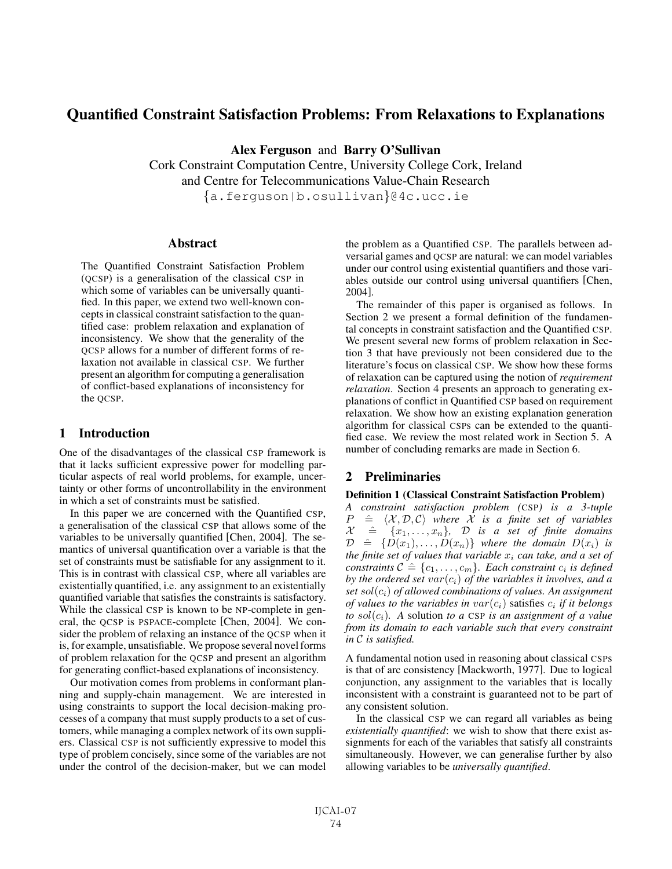# Quantified Constraint Satisfaction Problems: From Relaxations to Explanations

Alex Ferguson and Barry O'Sullivan

Cork Constraint Computation Centre, University College Cork, Ireland and Centre for Telecommunications Value-Chain Research

{a.ferguson|b.osullivan}@4c.ucc.ie

## **Abstract**

The Quantified Constraint Satisfaction Problem (QCSP) is a generalisation of the classical CSP in which some of variables can be universally quantified. In this paper, we extend two well-known concepts in classical constraint satisfaction to the quantified case: problem relaxation and explanation of inconsistency. We show that the generality of the QCSP allows for a number of different forms of relaxation not available in classical CSP. We further present an algorithm for computing a generalisation of conflict-based explanations of inconsistency for the OCSP.

## 1 Introduction

One of the disadvantages of the classical CSP framework is that it lacks sufficient expressive power for modelling particular aspects of real world problems, for example, uncertainty or other forms of uncontrollability in the environment in which a set of constraints must be satisfied.

In this paper we are concerned with the Quantified CSP, a generalisation of the classical CSP that allows some of the variables to be universally quantified [Chen, 2004]. The semantics of universal quantification over a variable is that the set of constraints must be satisfiable for any assignment to it. This is in contrast with classical CSP, where all variables are existentially quantified, i.e. any assignment to an existentially quantified variable that satisfies the constraints is satisfactory. While the classical CSP is known to be NP-complete in general, the QCSP is PSPACE-complete [Chen, 2004]. We consider the problem of relaxing an instance of the QCSP when it is, for example, unsatisfiable. We propose several novel forms of problem relaxation for the QCSP and present an algorithm for generating conflict-based explanations of inconsistency.

Our motivation comes from problems in conformant planning and supply-chain management. We are interested in using constraints to support the local decision-making processes of a company that must supply products to a set of customers, while managing a complex network of its own suppliers. Classical CSP is not sufficiently expressive to model this type of problem concisely, since some of the variables are not under the control of the decision-maker, but we can model the problem as a Quantified CSP. The parallels between adversarial games and QCSP are natural: we can model variables under our control using existential quantifiers and those variables outside our control using universal quantifiers [Chen, 2004].

The remainder of this paper is organised as follows. In Section 2 we present a formal definition of the fundamental concepts in constraint satisfaction and the Quantified CSP. We present several new forms of problem relaxation in Section 3 that have previously not been considered due to the literature's focus on classical CSP. We show how these forms of relaxation can be captured using the notion of *requirement relaxation*. Section 4 presents an approach to generating explanations of conflict in Quantified CSP based on requirement relaxation. We show how an existing explanation generation algorithm for classical CSPs can be extended to the quantified case. We review the most related work in Section 5. A number of concluding remarks are made in Section 6.

## 2 Preliminaries

#### Definition 1 (Classical Constraint Satisfaction Problem)

*A constraint satisfaction problem (*CSP*) is a 3-tuple*  $P \stackrel{\hat{=}}{X}$  $\langle X, \mathcal{D}, \mathcal{C} \rangle$  *where*  $\overline{X}$  *is a finite set of variables*  $\mathcal{X} \triangleq \{x_1,\ldots,x_n\}$ ,  $\mathcal{D}$  *is a set of finite domains*  $\mathcal{D} \triangleq \{D(x_1),...,D(x_n)\}\$  where the domain  $D(x_i)$  is *the finite set of values that variable*  $x_i$  *can take, and a set of constraints*  $C \triangleq \{c_1, \ldots, c_m\}$ *. Each constraint*  $c_i$  *is defined by the ordered set*  $var(c_i)$  *of the variables it involves, and a set* sol(ci) *of allowed combinations of values. An assignment of values to the variables in*  $var(c_i)$  *satisfies*  $c_i$  *if it belongs to*  $sol(c_i)$ *.* A solution *to* a CSP *is an assignment of* a value *from its domain to each variable such that every constraint in* C *is satisfied.*

A fundamental notion used in reasoning about classical CSPs is that of arc consistency [Mackworth, 1977]. Due to logical conjunction, any assignment to the variables that is locally inconsistent with a constraint is guaranteed not to be part of any consistent solution.

In the classical CSP we can regard all variables as being *existentially quantified*: we wish to show that there exist assignments for each of the variables that satisfy all constraints simultaneously. However, we can generalise further by also allowing variables to be *universally quantified*.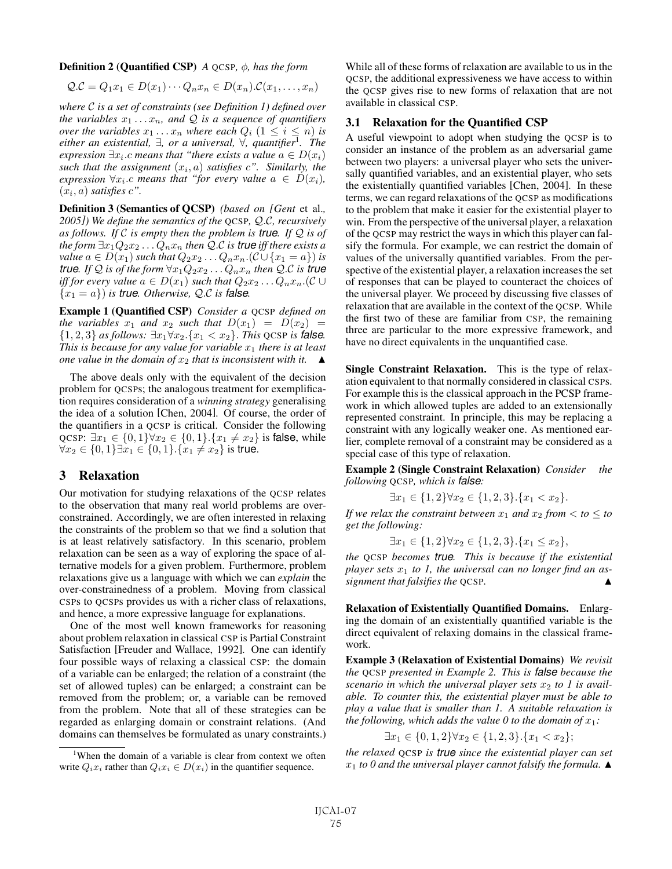Definition 2 (Quantified CSP) *A* QCSP*,* φ*, has the form*

$$
Q.C = Q_1x_1 \in D(x_1)\cdots Q_nx_n \in D(x_n).C(x_1,\ldots,x_n)
$$

*where* C *is a set of constraints (see Definition 1) defined over the variables*  $x_1 \ldots x_n$ *, and*  $\mathcal Q$  *is a sequence of quantifiers over the variables*  $x_1 \ldots x_n$  *where each*  $Q_i$   $(1 \leq i \leq n)$  *is either an existential,* ∃*, or a universal,* ∀*, quantifier*<sup>1</sup>*. The expression*  $\exists x_i.c$  *means that "there exists a value*  $a \in D(x_i)$ such that the assignment  $(x_i, a)$  satisfies  $c$ ". Similarly, the *expression*  $\forall x_i.c$  *means that "for every value*  $a \in D(x_i)$ ,  $(x_i, a)$  *satisfies*  $c$ ".

Definition 3 (Semantics of QCSP) *(based on [Gent* et al.*, 2005]) We define the semantics of the* QCSP*,* Q.C*, recursively as follows. If* C *is empty then the problem is true. If* Q *is of the form*  $\exists x_1 Q_2 x_2 \dots Q_n x_n$  *then* Q.C *is true iff there exists a value*  $a \in D(x_1)$  *such that*  $Q_2x_2 \ldots Q_nx_n$ .( $C \cup \{x_1 = a\}$ ) *is true. If*  $Q$  *is of the form*  $\forall x_1 Q_2 x_2 \dots Q_n x_n$  *then*  $Q.C$  *is true iff for every value*  $a \in D(x_1)$  *such that*  $Q_2x_2 \ldots Q_nx_n$ .( $\mathcal{C} \cup$  ${x_1 = a}$ ) *is true. Otherwise, Q.C is false.* 

Example 1 (Quantified CSP) *Consider a* QCSP *defined on the variables*  $x_1$  *and*  $x_2$  *such that*  $D(x_1) = D(x_2)$  = {1, 2, 3} *as follows:* ∃x1∀x2.{x<sup>1</sup> < x2}. *This* QCSP *is false. This is because for any value for variable*  $x_1$  *there is at least one value in the domain of*  $x_2$  *that is inconsistent with it.*  $\triangle$ 

The above deals only with the equivalent of the decision problem for QCSPs; the analogous treatment for exemplification requires consideration of a *winning strategy* generalising the idea of a solution [Chen, 2004]. Of course, the order of the quantifiers in a QCSP is critical. Consider the following QCSP:  $\exists x_1 \in \{0, 1\} \forall x_2 \in \{0, 1\}.\{x_1 \neq x_2\}$  is false, while  $\forall x_2 \in \{0,1\} \exists x_1 \in \{0,1\}.\{x_1 \neq x_2\}$  is true.

## 3 Relaxation

Our motivation for studying relaxations of the QCSP relates to the observation that many real world problems are overconstrained. Accordingly, we are often interested in relaxing the constraints of the problem so that we find a solution that is at least relatively satisfactory. In this scenario, problem relaxation can be seen as a way of exploring the space of alternative models for a given problem. Furthermore, problem relaxations give us a language with which we can *explain* the over-constrainedness of a problem. Moving from classical CSPs to QCSPs provides us with a richer class of relaxations, and hence, a more expressive language for explanations.

One of the most well known frameworks for reasoning about problem relaxation in classical CSP is Partial Constraint Satisfaction [Freuder and Wallace, 1992]. One can identify four possible ways of relaxing a classical CSP: the domain of a variable can be enlarged; the relation of a constraint (the set of allowed tuples) can be enlarged; a constraint can be removed from the problem; or, a variable can be removed from the problem. Note that all of these strategies can be regarded as enlarging domain or constraint relations. (And domains can themselves be formulated as unary constraints.) While all of these forms of relaxation are available to us in the QCSP, the additional expressiveness we have access to within the QCSP gives rise to new forms of relaxation that are not available in classical CSP.

#### 3.1 Relaxation for the Quantified CSP

A useful viewpoint to adopt when studying the QCSP is to consider an instance of the problem as an adversarial game between two players: a universal player who sets the universally quantified variables, and an existential player, who sets the existentially quantified variables [Chen, 2004]. In these terms, we can regard relaxations of the QCSP as modifications to the problem that make it easier for the existential player to win. From the perspective of the universal player, a relaxation of the QCSP may restrict the ways in which this player can falsify the formula. For example, we can restrict the domain of values of the universally quantified variables. From the perspective of the existential player, a relaxation increases the set of responses that can be played to counteract the choices of the universal player. We proceed by discussing five classes of relaxation that are available in the context of the QCSP. While the first two of these are familiar from CSP, the remaining three are particular to the more expressive framework, and have no direct equivalents in the unquantified case.

Single Constraint Relaxation. This is the type of relaxation equivalent to that normally considered in classical CSPs. For example this is the classical approach in the PCSP framework in which allowed tuples are added to an extensionally represented constraint. In principle, this may be replacing a constraint with any logically weaker one. As mentioned earlier, complete removal of a constraint may be considered as a special case of this type of relaxation.

Example 2 (Single Constraint Relaxation) *Consider the following* QCSP*, which is false:*

$$
\exists x_1 \in \{1, 2\} \forall x_2 \in \{1, 2, 3\}. \{x_1 < x_2\}.
$$

*If we relax the constraint between*  $x_1$  *and*  $x_2$  *from*  $\lt$  *to*  $\leq$  *to get the following:*

$$
\exists x_1 \in \{1, 2\} \forall x_2 \in \{1, 2, 3\}. \{x_1 \le x_2\},
$$

*the* QCSP *becomes true. This is because if the existential player sets*  $x_1$  to 1, the universal can no longer find an as*signment that falsifies the* QCSP*.* -

Relaxation of Existentially Quantified Domains. Enlarging the domain of an existentially quantified variable is the direct equivalent of relaxing domains in the classical framework.

Example 3 (Relaxation of Existential Domains) *We revisit the* QCSP *presented in Example 2. This is false because the scenario in which the universal player sets*  $x_2$  to 1 is avail*able. To counter this, the existential player must be able to play a value that is smaller than 1. A suitable relaxation is the following, which adds the value 0 to the domain of*  $x_1$ *:* 

$$
\exists x_1 \in \{0, 1, 2\} \forall x_2 \in \{1, 2, 3\}. \{x_1 < x_2\};
$$

*the relaxed* QCSP *is true since the existential player can set*  $x_1$  to 0 and the universal player cannot falsify the formula.  $\blacktriangle$ 

<sup>&</sup>lt;sup>1</sup>When the domain of a variable is clear from context we often write  $Q_i x_i$  rather than  $Q_i x_i \in D(x_i)$  in the quantifier sequence.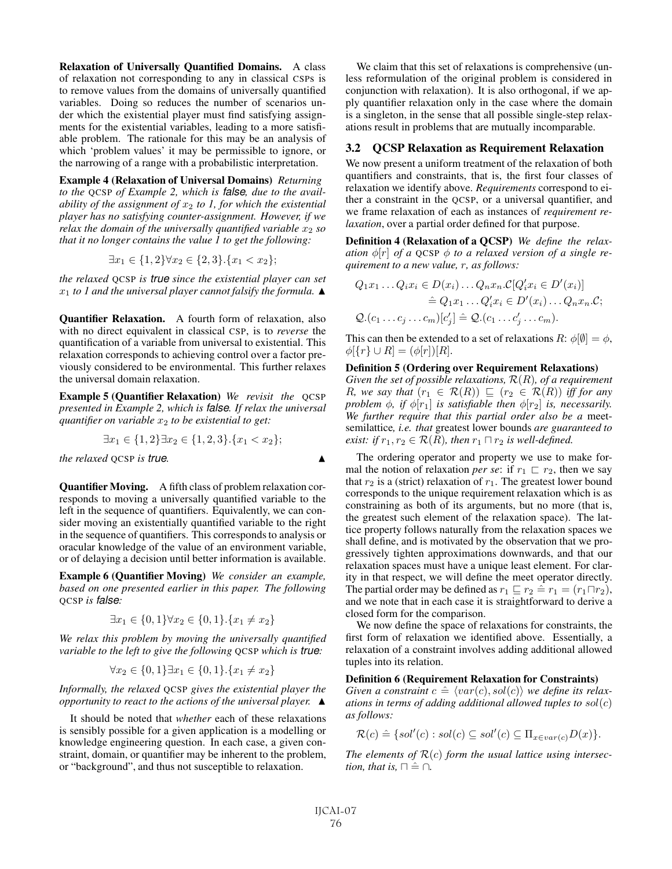Relaxation of Universally Quantified Domains. A class of relaxation not corresponding to any in classical CSPs is to remove values from the domains of universally quantified variables. Doing so reduces the number of scenarios under which the existential player must find satisfying assignments for the existential variables, leading to a more satisfiable problem. The rationale for this may be an analysis of which 'problem values' it may be permissible to ignore, or the narrowing of a range with a probabilistic interpretation.

Example 4 (Relaxation of Universal Domains) *Returning to the* QCSP *of Example 2, which is false, due to the availability of the assignment of*  $x_2$  *to 1, for which the existential player has no satisfying counter-assignment. However, if we relax the domain of the universally quantified variable*  $x_2$  *so that it no longer contains the value 1 to get the following:*

$$
\exists x_1 \in \{1, 2\} \forall x_2 \in \{2, 3\}. \{x_1 < x_2\};
$$

*the relaxed* QCSP *is true since the existential player can set*  $x_1$  to 1 and the universal player cannot falsify the formula.  $\blacktriangle$ 

Quantifier Relaxation. A fourth form of relaxation, also with no direct equivalent in classical CSP, is to *reverse* the quantification of a variable from universal to existential. This relaxation corresponds to achieving control over a factor previously considered to be environmental. This further relaxes the universal domain relaxation.

Example 5 (Quantifier Relaxation) *We revisit the* QCSP *presented in Example 2, which is false. If relax the universal quantifier on variable*  $x_2$  *to be existential to get:* 

$$
\exists x_1 \in \{1, 2\} \exists x_2 \in \{1, 2, 3\}. \{x_1 < x_2\};
$$

*the relaxed* QCSP *is true.* -

Quantifier Moving. A fifth class of problem relaxation corresponds to moving a universally quantified variable to the left in the sequence of quantifiers. Equivalently, we can consider moving an existentially quantified variable to the right in the sequence of quantifiers. This corresponds to analysis or oracular knowledge of the value of an environment variable, or of delaying a decision until better information is available.

Example 6 (Quantifier Moving) *We consider an example, based on one presented earlier in this paper. The following* QCSP *is false:*

$$
\exists x_1 \in \{0, 1\} \forall x_2 \in \{0, 1\}. \{x_1 \neq x_2\}
$$

*We relax this problem by moving the universally quantified variable to the left to give the following* QCSP *which is true:*

$$
\forall x_2 \in \{0, 1\} \exists x_1 \in \{0, 1\}. \{x_1 \neq x_2\}
$$

*Informally, the relaxed* QCSP *gives the existential player the opportunity to react to the actions of the universal player.* -

It should be noted that *whether* each of these relaxations is sensibly possible for a given application is a modelling or knowledge engineering question. In each case, a given constraint, domain, or quantifier may be inherent to the problem, or "background", and thus not susceptible to relaxation.

We claim that this set of relaxations is comprehensive (unless reformulation of the original problem is considered in conjunction with relaxation). It is also orthogonal, if we apply quantifier relaxation only in the case where the domain is a singleton, in the sense that all possible single-step relaxations result in problems that are mutually incomparable.

## 3.2 QCSP Relaxation as Requirement Relaxation

We now present a uniform treatment of the relaxation of both quantifiers and constraints, that is, the first four classes of relaxation we identify above. *Requirements* correspond to either a constraint in the QCSP, or a universal quantifier, and we frame relaxation of each as instances of *requirement relaxation*, over a partial order defined for that purpose.

Definition 4 (Relaxation of a QCSP) *We define the relaxation*  $\phi[r]$  *of a* QCSP  $\phi$  *to a relaxed version of a single requirement to a new value,* r*, as follows:*

$$
Q_1x_1 \dots Q_i x_i \in D(x_i) \dots Q_n x_n.C[Q_i' x_i \in D'(x_i)]
$$
  
\n
$$
\hat{=} Q_1x_1 \dots Q_i' x_i \in D'(x_i) \dots Q_n x_n.C;
$$
  
\n
$$
Q.(c_1 \dots c_j \dots c_m)[c_j'] \hat{=} Q.(c_1 \dots c_j' \dots c_m).
$$

This can then be extended to a set of relaxations  $R: \phi[\emptyset] = \phi$ ,  $\phi$ [{r}  $\cup$  R] = ( $\phi$ [r])[R].

### Definition 5 (Ordering over Requirement Relaxations)

*Given the set of possible relaxations,* R(R)*, of a requirement R*, we say that  $(r_1 \in \mathcal{R}(R)) \sqsubseteq (r_2 \in \mathcal{R}(R))$  *iff for any problem*  $\phi$ *, if*  $\phi[r_1]$  *is satisfiable then*  $\phi[r_2]$  *is, necessarily. We further require that this partial order also be a* meetsemilattice*, i.e. that* greatest lower bounds *are guaranteed to exist: if*  $r_1, r_2 \in \mathcal{R}(R)$ *, then*  $r_1 \sqcap r_2$  *is well-defined.* 

The ordering operator and property we use to make formal the notion of relaxation *per se*: if  $r_1 \rvert r_2$ , then we say that  $r_2$  is a (strict) relaxation of  $r_1$ . The greatest lower bound corresponds to the unique requirement relaxation which is as constraining as both of its arguments, but no more (that is, the greatest such element of the relaxation space). The lattice property follows naturally from the relaxation spaces we shall define, and is motivated by the observation that we progressively tighten approximations downwards, and that our relaxation spaces must have a unique least element. For clarity in that respect, we will define the meet operator directly. The partial order may be defined as  $r_1 \sqsubseteq r_2 \hat = r_1 = (r_1 \sqcap r_2)$ , and we note that in each case it is straightforward to derive a closed form for the comparison.

We now define the space of relaxations for constraints, the first form of relaxation we identified above. Essentially, a relaxation of a constraint involves adding additional allowed tuples into its relation.

#### Definition 6 (Requirement Relaxation for Constraints)

*Given a constraint*  $c \triangleq \langle var(c), sol(c) \rangle$  we define its relax*ations in terms of adding additional allowed tuples to* sol(c) *as follows:*

$$
\mathcal{R}(c) \triangleq \{sol'(c) : sol(c) \subseteq sol'(c) \subseteq \Pi_{x \in var(c)} D(x) \}.
$$

*The elements of*  $\mathcal{R}(c)$  *form the usual lattice using intersection, that is,*  $\Box \cong \bigcap$ *.* 

▲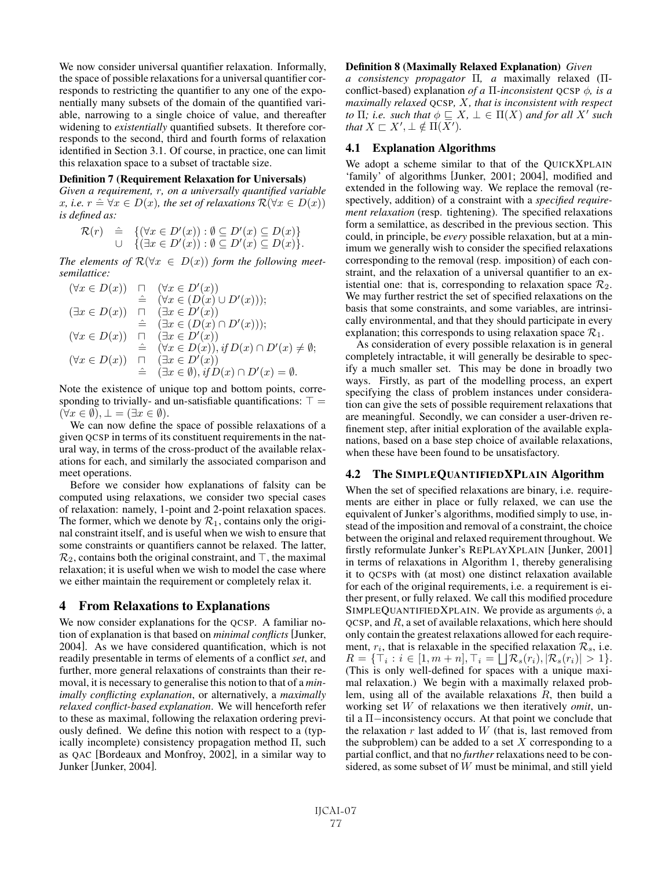We now consider universal quantifier relaxation. Informally, the space of possible relaxations for a universal quantifier corresponds to restricting the quantifier to any one of the exponentially many subsets of the domain of the quantified variable, narrowing to a single choice of value, and thereafter widening to *existentially* quantified subsets. It therefore corresponds to the second, third and fourth forms of relaxation identified in Section 3.1. Of course, in practice, one can limit this relaxation space to a subset of tractable size.

#### Definition 7 (Requirement Relaxation for Universals)

*Given a requirement,* r*, on a universally quantified variable* x, i.e.  $r \triangleq \forall x \in D(x)$ , the set of relaxations  $\mathcal{R}(\forall x \in D(x))$ *is defined as:*

$$
\mathcal{R}(r) \quad \hat{=} \quad \{ (\forall x \in D'(x)) : \emptyset \subseteq D'(x) \subseteq D(x) \} \cup \quad \{ (\exists x \in D'(x)) : \emptyset \subseteq D'(x) \subseteq D(x) \}.
$$

*The elements of*  $\mathcal{R}(\forall x \in D(x))$  *form the following meetsemilattice:*

$$
(\forall x \in D(x)) \quad \Box \quad (\forall x \in D'(x))
$$
  
\n
$$
\cong \quad (\forall x \in (D(x) \cup D'(x)));
$$
  
\n
$$
(\exists x \in D(x)) \quad \Box \quad (\exists x \in D'(x))
$$
  
\n
$$
\cong \quad (\exists x \in (D(x) \cap D'(x)));
$$
  
\n
$$
(\forall x \in D(x)) \quad \Box \quad (\exists x \in D'(x))
$$
  
\n
$$
(\forall x \in D(x)) \quad \vdots \quad (\forall x \in D(x)), \text{if } D(x) \cap D'(x) \neq \emptyset;
$$
  
\n
$$
(\forall x \in D(x)) \quad \Box \quad (\exists x \in D'(x))
$$
  
\n
$$
\cong \quad (\exists x \in \emptyset), \text{if } D(x) \cap D'(x) = \emptyset.
$$

Note the existence of unique top and bottom points, corresponding to trivially- and un-satisfiable quantifications:  $\top =$  $(\forall x \in \emptyset), \bot = (\exists x \in \emptyset).$ 

We can now define the space of possible relaxations of a given QCSP in terms of its constituent requirements in the natural way, in terms of the cross-product of the available relaxations for each, and similarly the associated comparison and meet operations.

Before we consider how explanations of falsity can be computed using relaxations, we consider two special cases of relaxation: namely, 1-point and 2-point relaxation spaces. The former, which we denote by  $\mathcal{R}_1$ , contains only the original constraint itself, and is useful when we wish to ensure that some constraints or quantifiers cannot be relaxed. The latter,  $\mathcal{R}_2$ , contains both the original constraint, and  $\top$ , the maximal relaxation; it is useful when we wish to model the case where we either maintain the requirement or completely relax it.

## 4 From Relaxations to Explanations

We now consider explanations for the QCSP. A familiar notion of explanation is that based on *minimal conflicts* [Junker, 2004]. As we have considered quantification, which is not readily presentable in terms of elements of a conflict *set*, and further, more general relaxations of constraints than their removal, it is necessary to generalise this notion to that of a *minimally conflicting explanation*, or alternatively, a *maximally relaxed conflict-based explanation*. We will henceforth refer to these as maximal, following the relaxation ordering previously defined. We define this notion with respect to a (typically incomplete) consistency propagation method Π, such as QAC [Bordeaux and Monfroy, 2002], in a similar way to Junker [Junker, 2004].

#### Definition 8 (Maximally Relaxed Explanation) *Given*

*a consistency propagator* Π*, a* maximally relaxed (Πconflict-based) explanation *of a* Π*-inconsistent* QCSP φ*, is a maximally relaxed* QCSP*,* X*, that is inconsistent with respect to*  $\Pi$ *; i.e. such that*  $\phi \subseteq X$ ,  $\bot \in \Pi(X)$  *and for all*  $X'$  *such that*  $X \sqsubset X', \bot \notin \Pi(\overline{X'}).$ 

## 4.1 Explanation Algorithms

We adopt a scheme similar to that of the QUICKXPLAIN 'family' of algorithms [Junker, 2001; 2004], modified and extended in the following way. We replace the removal (respectively, addition) of a constraint with a *specified requirement relaxation* (resp. tightening). The specified relaxations form a semilattice, as described in the previous section. This could, in principle, be *every* possible relaxation, but at a minimum we generally wish to consider the specified relaxations corresponding to the removal (resp. imposition) of each constraint, and the relaxation of a universal quantifier to an existential one: that is, corresponding to relaxation space  $\mathcal{R}_2$ . We may further restrict the set of specified relaxations on the basis that some constraints, and some variables, are intrinsically environmental, and that they should participate in every explanation; this corresponds to using relaxation space  $\mathcal{R}_1$ .

As consideration of every possible relaxation is in general completely intractable, it will generally be desirable to specify a much smaller set. This may be done in broadly two ways. Firstly, as part of the modelling process, an expert specifying the class of problem instances under consideration can give the sets of possible requirement relaxations that are meaningful. Secondly, we can consider a user-driven refinement step, after initial exploration of the available explanations, based on a base step choice of available relaxations, when these have been found to be unsatisfactory.

#### 4.2 The SIMPLEQUANTIFIEDXPLAIN Algorithm

When the set of specified relaxations are binary, i.e. requirements are either in place or fully relaxed, we can use the equivalent of Junker's algorithms, modified simply to use, instead of the imposition and removal of a constraint, the choice between the original and relaxed requirement throughout. We firstly reformulate Junker's REPLAYXPLAIN [Junker, 2001] in terms of relaxations in Algorithm 1, thereby generalising it to QCSPs with (at most) one distinct relaxation available for each of the original requirements, i.e. a requirement is either present, or fully relaxed. We call this modified procedure SIMPLEQUANTIFIEDXPLAIN. We provide as arguments  $\phi$ , a QCSP, and R, a set of available relaxations, which here should only contain the greatest relaxations allowed for each requirement,  $r_i$ , that is relaxable in the specified relaxation  $\mathcal{R}_s$ , i.e.  $R = {\top_i : i \in [1, m+n], \top_i = \bigsqcup \mathcal{R}_s(r_i), |\mathcal{R}_s(r_i)| > 1}.$ (This is only well-defined for spaces with a unique maximal relaxation.) We begin with a maximally relaxed problem, using all of the available relaxations R, then build a working set W of relaxations we then iteratively *omit*, until a Π−inconsistency occurs. At that point we conclude that the relaxation  $r$  last added to  $W$  (that is, last removed from the subproblem) can be added to a set  $X$  corresponding to a partial conflict, and that no *further* relaxations need to be considered, as some subset of W must be minimal, and still yield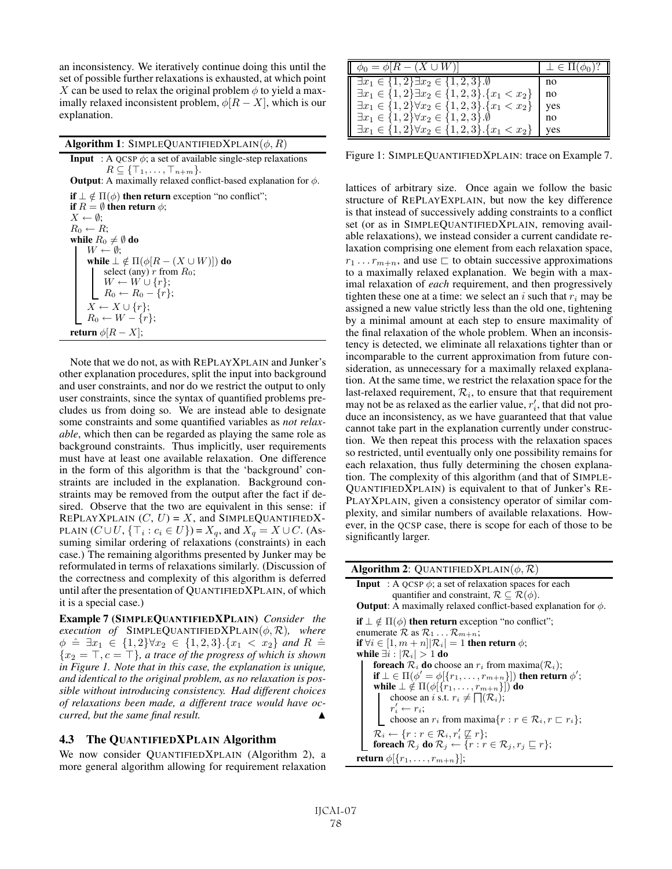an inconsistency. We iteratively continue doing this until the set of possible further relaxations is exhausted, at which point X can be used to relax the original problem  $\phi$  to yield a maximally relaxed inconsistent problem,  $\phi[R - X]$ , which is our explanation.

Algorithm 1: SIMPLEQUANTIFIEDXPLAIN $(\phi, R)$ **Input** : A QCSP  $\phi$ ; a set of available single-step relaxations  $R \subseteq {\{\top_{1}, \ldots, \top_{n+m}\}}.$ **Output:** A maximally relaxed conflict-based explanation for  $\phi$ . if  $\perp \notin \Pi(\phi)$  then return exception "no conflict"; if  $R = \emptyset$  then return  $\phi$ ;  $X \leftarrow \emptyset;$  $R_0 \leftarrow R$ ; while  $R_0\neq\emptyset$  do  $W \leftarrow \emptyset$ ; while  $\bot \notin \Pi(\phi[R-(X \cup W)])$  do select (any)  $r$  from  $R_0$ ;  $W \leftarrow W \cup \{r\};$  $R_0 \leftarrow R_0 - \{r\};$  $X \leftarrow X \cup \{r\};$  $R_0 \leftarrow W - \{r\};$ return  $\phi[R - X];$ 

Note that we do not, as with REPLAYXPLAIN and Junker's other explanation procedures, split the input into background and user constraints, and nor do we restrict the output to only user constraints, since the syntax of quantified problems precludes us from doing so. We are instead able to designate some constraints and some quantified variables as *not relaxable*, which then can be regarded as playing the same role as background constraints. Thus implicitly, user requirements must have at least one available relaxation. One difference in the form of this algorithm is that the 'background' constraints are included in the explanation. Background constraints may be removed from the output after the fact if desired. Observe that the two are equivalent in this sense: if REPLAYXPLAIN  $(C, U) = X$ , and SIMPLEQUANTIFIEDX-PLAIN  $(C \cup U, \{\top_i : c_i \in U\}) = X_q$ , and  $X_q = X \cup C$ . (Assuming similar ordering of relaxations (constraints) in each case.) The remaining algorithms presented by Junker may be reformulated in terms of relaxations similarly. (Discussion of the correctness and complexity of this algorithm is deferred until after the presentation of QUANTIFIEDXPLAIN, of which it is a special case.)

Example 7 (SIMPLEQUANTIFIEDXPLAIN) *Consider the execution of* SIMPLEQUANTIFIEDXPLAIN $(\phi, \mathcal{R})$ *, where*  $\phi \text{ } \hat{=} \text{ } \exists x_1 \in \{1,2\} \forall x_2 \in \{1,2,3\}.\{x_1 < x_2\} \text{ and } R \text{ } \hat{=}$  ${x_2 = T, c = T}$ *, a trace of the progress of which is shown in Figure 1. Note that in this case, the explanation is unique, and identical to the original problem, as no relaxation is possible without introducing consistency. Had different choices of relaxations been made, a different trace would have occurred, but the same final result.* 

## 4.3 The QUANTIFIEDXPLAIN Algorithm

We now consider QUANTIFIEDXPLAIN (Algorithm 2), a more general algorithm allowing for requirement relaxation

| $\phi_0 = \phi[R - (X \cup W)]$                                   | $\perp \in \Pi(\phi_0)$ ? |
|-------------------------------------------------------------------|---------------------------|
| $\exists x_1 \in \{1,2\} \exists x_2 \in \{1,2,3\}.\emptyset$     | no                        |
| $\exists x_1 \in \{1,2\} \exists x_2 \in \{1,2,3\}.\{x_1 < x_2\}$ | l no                      |
| $\exists x_1 \in \{1,2\} \forall x_2 \in \{1,2,3\}.\{x_1 < x_2\}$ | yes                       |
| $\exists x_1 \in \{1,2\} \forall x_2 \in \{1,2,3\}.\emptyset$     | no                        |
| $\exists x_1 \in \{1,2\} \forall x_2 \in \{1,2,3\}.\{x_1 < x_2\}$ | yes                       |

Figure 1: SIMPLEQUANTIFIEDXPLAIN: trace on Example 7.

lattices of arbitrary size. Once again we follow the basic structure of REPLAYEXPLAIN, but now the key difference is that instead of successively adding constraints to a conflict set (or as in SIMPLEQUANTIFIEDXPLAIN, removing available relaxations), we instead consider a current candidate relaxation comprising one element from each relaxation space,  $r_1 \ldots r_{m+n}$ , and use  $\sqsubset$  to obtain successive approximations to a maximally relaxed explanation. We begin with a maximal relaxation of *each* requirement, and then progressively tighten these one at a time: we select an i such that  $r_i$  may be assigned a new value strictly less than the old one, tightening by a minimal amount at each step to ensure maximality of the final relaxation of the whole problem. When an inconsistency is detected, we eliminate all relaxations tighter than or incomparable to the current approximation from future consideration, as unnecessary for a maximally relaxed explanation. At the same time, we restrict the relaxation space for the last-relaxed requirement,  $\mathcal{R}_i$ , to ensure that that requirement may not be as relaxed as the earlier value,  $r_i'$ , that did not produce an inconsistency, as we have guaranteed that that value cannot take part in the explanation currently under construction. We then repeat this process with the relaxation spaces so restricted, until eventually only one possibility remains for each relaxation, thus fully determining the chosen explanation. The complexity of this algorithm (and that of SIMPLE-QUANTIFIEDXPLAIN) is equivalent to that of Junker's RE-PLAYXPLAIN, given a consistency operator of similar complexity, and similar numbers of available relaxations. However, in the QCSP case, there is scope for each of those to be significantly larger.

**Algorithm 2:** QUANTIFIEDXPLAIN( $\phi$ ,  $\mathcal{R}$ ) **Input** : A QCSP  $\phi$ ; a set of relaxation spaces for each quantifier and constraint,  $\mathcal{R} \subseteq \mathcal{R}(\phi)$ . **Output:** A maximally relaxed conflict-based explanation for  $\phi$ . **if**  $\bot \notin \Pi(\phi)$  **then return** exception "no conflict"; enumerate  $\mathcal R$  as  $\mathcal R_1 \dots \mathcal R_{m+n}$ ; if  $\forall i \in [1, m + n] |R_i| = 1$  then return  $\phi$ ; while  $\exists i : |\mathcal{R}_i| > 1$  do **foreach**  $\mathcal{R}_i$  **do** choose an  $r_i$  from maxima( $\mathcal{R}_i$ ); if  $\bot \in \Pi(\phi' = \phi[\lbrace r_1,\ldots,r_{m+n}\rbrace])$  then return  $\phi'$ ; while  $\bot \notin \Pi(\phi[\{r_1,\ldots,r_{m+n}\}])$  do choose an *i* s.t.  $r_i \neq \bigcap (\mathcal{R}_i);$  $r'_i \leftarrow r_i;$ choose an  $r_i$  from maxima $\{r : r \in \mathcal{R}_i, r \sqsubset r_i\};$  $\mathcal{R}_i \leftarrow \{r : r \in \mathcal{R}_i, r'_i \not\sqsubseteq r\};$ foreach  $\mathcal{R}_j$  do  $\mathcal{R}_j \leftarrow \{r : r \in \mathcal{R}_j, r_j \sqsubseteq r\};$ **return**  $\phi[\{r_1,\ldots,r_{m+n}\}]$ ;